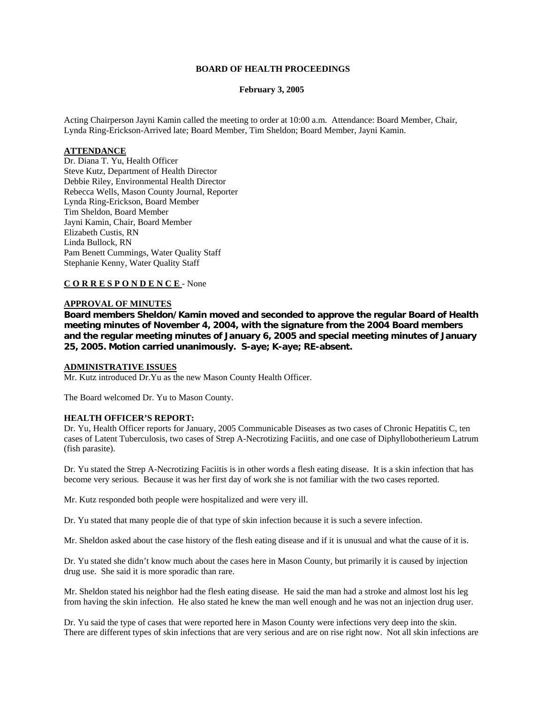### **BOARD OF HEALTH PROCEEDINGS**

#### **February 3, 2005**

Acting Chairperson Jayni Kamin called the meeting to order at 10:00 a.m. Attendance: Board Member, Chair, Lynda Ring-Erickson-Arrived late; Board Member, Tim Sheldon; Board Member, Jayni Kamin.

### **ATTENDANCE**

Dr. Diana T. Yu, Health Officer Steve Kutz, Department of Health Director Debbie Riley, Environmental Health Director Rebecca Wells, Mason County Journal, Reporter Lynda Ring-Erickson, Board Member Tim Sheldon, Board Member Jayni Kamin, Chair, Board Member Elizabeth Custis, RN Linda Bullock, RN Pam Benett Cummings, Water Quality Staff Stephanie Kenny, Water Quality Staff

## **C O R R E S P O N D E N C E** - None

#### **APPROVAL OF MINUTES**

**Board members Sheldon/Kamin moved and seconded to approve the regular Board of Health meeting minutes of November 4, 2004, with the signature from the 2004 Board members and the regular meeting minutes of January 6, 2005 and special meeting minutes of January 25, 2005. Motion carried unanimously. S-aye; K-aye; RE-absent.**

#### **ADMINISTRATIVE ISSUES**

Mr. Kutz introduced Dr.Yu as the new Mason County Health Officer.

The Board welcomed Dr. Yu to Mason County.

#### **HEALTH OFFICER'S REPORT:**

Dr. Yu, Health Officer reports for January, 2005 Communicable Diseases as two cases of Chronic Hepatitis C, ten cases of Latent Tuberculosis, two cases of Strep A-Necrotizing Faciitis, and one case of Diphyllobotherieum Latrum (fish parasite).

Dr. Yu stated the Strep A-Necrotizing Faciitis is in other words a flesh eating disease. It is a skin infection that has become very serious. Because it was her first day of work she is not familiar with the two cases reported.

Mr. Kutz responded both people were hospitalized and were very ill.

Dr. Yu stated that many people die of that type of skin infection because it is such a severe infection.

Mr. Sheldon asked about the case history of the flesh eating disease and if it is unusual and what the cause of it is.

Dr. Yu stated she didn't know much about the cases here in Mason County, but primarily it is caused by injection drug use. She said it is more sporadic than rare.

Mr. Sheldon stated his neighbor had the flesh eating disease. He said the man had a stroke and almost lost his leg from having the skin infection. He also stated he knew the man well enough and he was not an injection drug user.

Dr. Yu said the type of cases that were reported here in Mason County were infections very deep into the skin. There are different types of skin infections that are very serious and are on rise right now. Not all skin infections are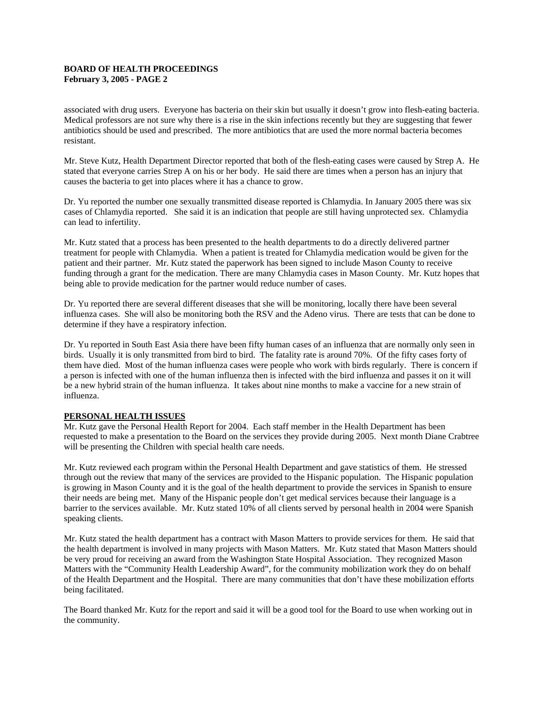associated with drug users. Everyone has bacteria on their skin but usually it doesn't grow into flesh-eating bacteria. Medical professors are not sure why there is a rise in the skin infections recently but they are suggesting that fewer antibiotics should be used and prescribed. The more antibiotics that are used the more normal bacteria becomes resistant.

Mr. Steve Kutz, Health Department Director reported that both of the flesh-eating cases were caused by Strep A. He stated that everyone carries Strep A on his or her body. He said there are times when a person has an injury that causes the bacteria to get into places where it has a chance to grow.

Dr. Yu reported the number one sexually transmitted disease reported is Chlamydia. In January 2005 there was six cases of Chlamydia reported. She said it is an indication that people are still having unprotected sex. Chlamydia can lead to infertility.

Mr. Kutz stated that a process has been presented to the health departments to do a directly delivered partner treatment for people with Chlamydia. When a patient is treated for Chlamydia medication would be given for the patient and their partner. Mr. Kutz stated the paperwork has been signed to include Mason County to receive funding through a grant for the medication. There are many Chlamydia cases in Mason County. Mr. Kutz hopes that being able to provide medication for the partner would reduce number of cases.

Dr. Yu reported there are several different diseases that she will be monitoring, locally there have been several influenza cases. She will also be monitoring both the RSV and the Adeno virus. There are tests that can be done to determine if they have a respiratory infection.

Dr. Yu reported in South East Asia there have been fifty human cases of an influenza that are normally only seen in birds. Usually it is only transmitted from bird to bird. The fatality rate is around 70%. Of the fifty cases forty of them have died. Most of the human influenza cases were people who work with birds regularly. There is concern if a person is infected with one of the human influenza then is infected with the bird influenza and passes it on it will be a new hybrid strain of the human influenza. It takes about nine months to make a vaccine for a new strain of influenza.

# **PERSONAL HEALTH ISSUES**

Mr. Kutz gave the Personal Health Report for 2004. Each staff member in the Health Department has been requested to make a presentation to the Board on the services they provide during 2005. Next month Diane Crabtree will be presenting the Children with special health care needs.

Mr. Kutz reviewed each program within the Personal Health Department and gave statistics of them. He stressed through out the review that many of the services are provided to the Hispanic population. The Hispanic population is growing in Mason County and it is the goal of the health department to provide the services in Spanish to ensure their needs are being met. Many of the Hispanic people don't get medical services because their language is a barrier to the services available. Mr. Kutz stated 10% of all clients served by personal health in 2004 were Spanish speaking clients.

Mr. Kutz stated the health department has a contract with Mason Matters to provide services for them. He said that the health department is involved in many projects with Mason Matters. Mr. Kutz stated that Mason Matters should be very proud for receiving an award from the Washington State Hospital Association. They recognized Mason Matters with the "Community Health Leadership Award", for the community mobilization work they do on behalf of the Health Department and the Hospital. There are many communities that don't have these mobilization efforts being facilitated.

The Board thanked Mr. Kutz for the report and said it will be a good tool for the Board to use when working out in the community.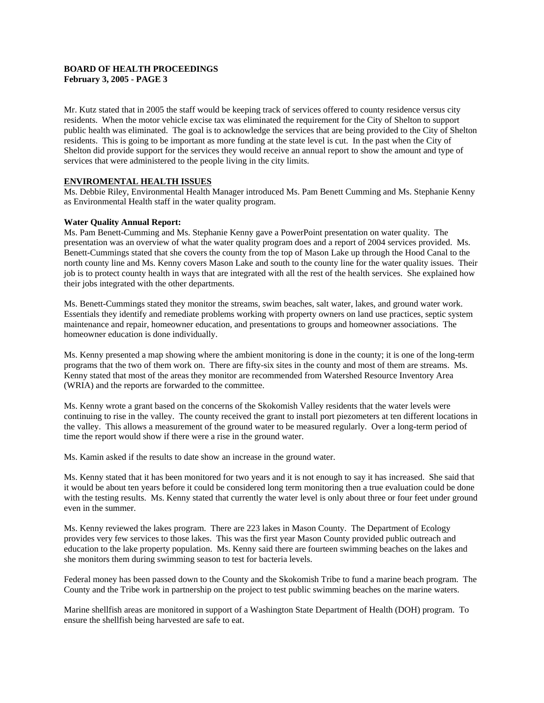Mr. Kutz stated that in 2005 the staff would be keeping track of services offered to county residence versus city residents. When the motor vehicle excise tax was eliminated the requirement for the City of Shelton to support public health was eliminated. The goal is to acknowledge the services that are being provided to the City of Shelton residents. This is going to be important as more funding at the state level is cut. In the past when the City of Shelton did provide support for the services they would receive an annual report to show the amount and type of services that were administered to the people living in the city limits.

### **ENVIROMENTAL HEALTH ISSUES**

Ms. Debbie Riley, Environmental Health Manager introduced Ms. Pam Benett Cumming and Ms. Stephanie Kenny as Environmental Health staff in the water quality program.

### **Water Quality Annual Report:**

Ms. Pam Benett-Cumming and Ms. Stephanie Kenny gave a PowerPoint presentation on water quality. The presentation was an overview of what the water quality program does and a report of 2004 services provided. Ms. Benett-Cummings stated that she covers the county from the top of Mason Lake up through the Hood Canal to the north county line and Ms. Kenny covers Mason Lake and south to the county line for the water quality issues. Their job is to protect county health in ways that are integrated with all the rest of the health services. She explained how their jobs integrated with the other departments.

Ms. Benett-Cummings stated they monitor the streams, swim beaches, salt water, lakes, and ground water work. Essentials they identify and remediate problems working with property owners on land use practices, septic system maintenance and repair, homeowner education, and presentations to groups and homeowner associations. The homeowner education is done individually.

Ms. Kenny presented a map showing where the ambient monitoring is done in the county; it is one of the long-term programs that the two of them work on. There are fifty-six sites in the county and most of them are streams. Ms. Kenny stated that most of the areas they monitor are recommended from Watershed Resource Inventory Area (WRIA) and the reports are forwarded to the committee.

Ms. Kenny wrote a grant based on the concerns of the Skokomish Valley residents that the water levels were continuing to rise in the valley. The county received the grant to install port piezometers at ten different locations in the valley. This allows a measurement of the ground water to be measured regularly. Over a long-term period of time the report would show if there were a rise in the ground water.

Ms. Kamin asked if the results to date show an increase in the ground water.

Ms. Kenny stated that it has been monitored for two years and it is not enough to say it has increased. She said that it would be about ten years before it could be considered long term monitoring then a true evaluation could be done with the testing results. Ms. Kenny stated that currently the water level is only about three or four feet under ground even in the summer.

Ms. Kenny reviewed the lakes program. There are 223 lakes in Mason County. The Department of Ecology provides very few services to those lakes. This was the first year Mason County provided public outreach and education to the lake property population. Ms. Kenny said there are fourteen swimming beaches on the lakes and she monitors them during swimming season to test for bacteria levels.

Federal money has been passed down to the County and the Skokomish Tribe to fund a marine beach program. The County and the Tribe work in partnership on the project to test public swimming beaches on the marine waters.

Marine shellfish areas are monitored in support of a Washington State Department of Health (DOH) program. To ensure the shellfish being harvested are safe to eat.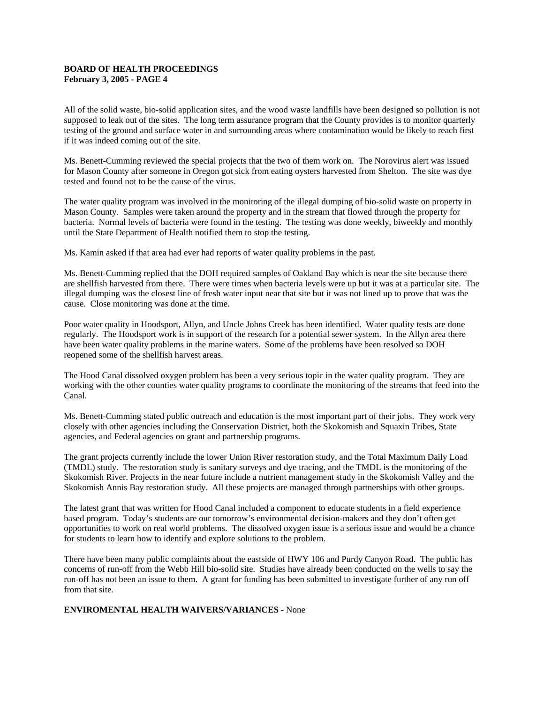All of the solid waste, bio-solid application sites, and the wood waste landfills have been designed so pollution is not supposed to leak out of the sites. The long term assurance program that the County provides is to monitor quarterly testing of the ground and surface water in and surrounding areas where contamination would be likely to reach first if it was indeed coming out of the site.

Ms. Benett-Cumming reviewed the special projects that the two of them work on. The Norovirus alert was issued for Mason County after someone in Oregon got sick from eating oysters harvested from Shelton. The site was dye tested and found not to be the cause of the virus.

The water quality program was involved in the monitoring of the illegal dumping of bio-solid waste on property in Mason County. Samples were taken around the property and in the stream that flowed through the property for bacteria. Normal levels of bacteria were found in the testing. The testing was done weekly, biweekly and monthly until the State Department of Health notified them to stop the testing.

Ms. Kamin asked if that area had ever had reports of water quality problems in the past.

Ms. Benett-Cumming replied that the DOH required samples of Oakland Bay which is near the site because there are shellfish harvested from there. There were times when bacteria levels were up but it was at a particular site. The illegal dumping was the closest line of fresh water input near that site but it was not lined up to prove that was the cause. Close monitoring was done at the time.

Poor water quality in Hoodsport, Allyn, and Uncle Johns Creek has been identified. Water quality tests are done regularly. The Hoodsport work is in support of the research for a potential sewer system. In the Allyn area there have been water quality problems in the marine waters. Some of the problems have been resolved so DOH reopened some of the shellfish harvest areas.

The Hood Canal dissolved oxygen problem has been a very serious topic in the water quality program. They are working with the other counties water quality programs to coordinate the monitoring of the streams that feed into the Canal.

Ms. Benett-Cumming stated public outreach and education is the most important part of their jobs. They work very closely with other agencies including the Conservation District, both the Skokomish and Squaxin Tribes, State agencies, and Federal agencies on grant and partnership programs.

The grant projects currently include the lower Union River restoration study, and the Total Maximum Daily Load (TMDL) study. The restoration study is sanitary surveys and dye tracing, and the TMDL is the monitoring of the Skokomish River. Projects in the near future include a nutrient management study in the Skokomish Valley and the Skokomish Annis Bay restoration study. All these projects are managed through partnerships with other groups.

The latest grant that was written for Hood Canal included a component to educate students in a field experience based program. Today's students are our tomorrow's environmental decision-makers and they don't often get opportunities to work on real world problems. The dissolved oxygen issue is a serious issue and would be a chance for students to learn how to identify and explore solutions to the problem.

There have been many public complaints about the eastside of HWY 106 and Purdy Canyon Road. The public has concerns of run-off from the Webb Hill bio-solid site. Studies have already been conducted on the wells to say the run-off has not been an issue to them. A grant for funding has been submitted to investigate further of any run off from that site.

# **ENVIROMENTAL HEALTH WAIVERS/VARIANCES** - None